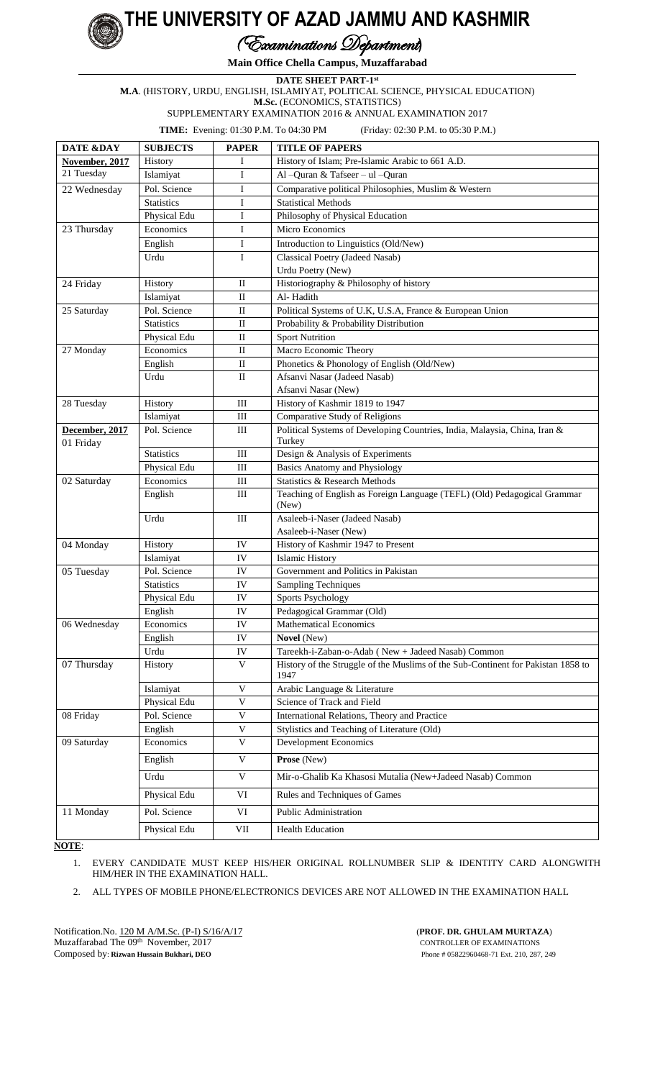## **THE UNIVERSITY OF AZAD JAMMU AND KASHMIR**

## (Examinations Department**)**

**Main Office Chella Campus, Muzaffarabad**

**DATE SHEET PART-1 st**

**M.A**. (HISTORY, URDU, ENGLISH, ISLAMIYAT, POLITICAL SCIENCE, PHYSICAL EDUCATION)

**M.Sc.** (ECONOMICS, STATISTICS)

SUPPLEMENTARY EXAMINATION 2016 & ANNUAL EXAMINATION 2017

**TIME:** Evening: 01:30 P.M. To 04:30 PM (Friday: 02:30 P.M. to 05:30 P.M.)

| DATE &DAY      | <b>SUBJECTS</b>           | <b>PAPER</b>              | <b>TITLE OF PAPERS</b>                                                                   |
|----------------|---------------------------|---------------------------|------------------------------------------------------------------------------------------|
| November, 2017 | History                   | I                         | History of Islam; Pre-Islamic Arabic to 661 A.D.                                         |
| 21 Tuesday     | Islamiyat                 | I                         | Al-Quran & Tafseer - ul-Quran                                                            |
| 22 Wednesday   | Pol. Science              | I                         | Comparative political Philosophies, Muslim & Western                                     |
|                | <b>Statistics</b>         | I                         | <b>Statistical Methods</b>                                                               |
|                | Physical Edu              | I                         | Philosophy of Physical Education                                                         |
| 23 Thursday    | Economics                 | Ι                         | Micro Economics                                                                          |
|                | English                   | I                         | Introduction to Linguistics (Old/New)                                                    |
|                | Urdu                      | I                         | Classical Poetry (Jadeed Nasab)                                                          |
|                |                           |                           | Urdu Poetry (New)                                                                        |
| 24 Friday      | History                   | $\mathbf{I}$              | Historiography & Philosophy of history                                                   |
|                | Islamiyat                 | $\rm II$                  | Al-Hadith                                                                                |
| 25 Saturday    | Pol. Science              | $\rm II$                  | Political Systems of U.K, U.S.A, France & European Union                                 |
|                | <b>Statistics</b>         | $\rm II$                  | Probability & Probability Distribution                                                   |
|                | Physical Edu              | $\rm II$                  | <b>Sport Nutrition</b>                                                                   |
| 27 Monday      | Economics                 | $\rm II$                  | Macro Economic Theory                                                                    |
|                | English                   | $\rm II$                  | Phonetics & Phonology of English (Old/New)                                               |
|                | Urdu                      | $\rm II$                  | Afsanvi Nasar (Jadeed Nasab)                                                             |
|                |                           |                           | Afsanvi Nasar (New)                                                                      |
| 28 Tuesday     | History                   | $\rm III$<br>$\rm III$    | History of Kashmir 1819 to 1947<br>Comparative Study of Religions                        |
| December, 2017 | Islamiyat<br>Pol. Science | III                       | Political Systems of Developing Countries, India, Malaysia, China, Iran &                |
| 01 Friday      |                           |                           | Turkey                                                                                   |
|                | <b>Statistics</b>         | III                       | Design & Analysis of Experiments                                                         |
|                | Physical Edu              | $\rm III$                 | <b>Basics Anatomy and Physiology</b>                                                     |
| 02 Saturday    | Economics                 | $\rm III$                 | Statistics & Research Methods                                                            |
|                | English                   | III                       | Teaching of English as Foreign Language (TEFL) (Old) Pedagogical Grammar<br>(New)        |
|                | Urdu                      | III                       | Asaleeb-i-Naser (Jadeed Nasab)                                                           |
|                |                           |                           | Asaleeb-i-Naser (New)                                                                    |
| 04 Monday      | History                   | IV                        | History of Kashmir 1947 to Present                                                       |
|                | Islamiyat                 | IV                        | <b>Islamic History</b>                                                                   |
| 05 Tuesday     | Pol. Science              | IV                        | Government and Politics in Pakistan                                                      |
|                | <b>Statistics</b>         | IV                        | <b>Sampling Techniques</b>                                                               |
|                | Physical Edu              | IV                        | <b>Sports Psychology</b>                                                                 |
|                | English                   | IV                        | Pedagogical Grammar (Old)                                                                |
| 06 Wednesday   | Economics                 | IV                        | <b>Mathematical Economics</b>                                                            |
|                | English                   | IV                        | Novel (New)                                                                              |
|                | Urdu                      | IV                        | Tareekh-i-Zaban-o-Adab (New + Jadeed Nasab) Common                                       |
| 07 Thursday    | History                   | $\mathbf V$               | History of the Struggle of the Muslims of the Sub-Continent for Pakistan 1858 to<br>1947 |
|                | Islamiyat                 | $\mathbf V$               | Arabic Language & Literature                                                             |
|                | Physical Edu              | $\bar{V}$                 | Science of Track and Field                                                               |
| 08 Friday      | Pol. Science              | $\mathbf V$               | International Relations, Theory and Practice                                             |
|                | English                   | $\ensuremath{\mathsf{V}}$ | Stylistics and Teaching of Literature (Old)                                              |
| 09 Saturday    | Economics                 | $\mathbf V$               | <b>Development Economics</b>                                                             |
|                | English                   | $\mathbf V$               | Prose (New)                                                                              |
|                | Urdu                      | $\mathbf V$               | Mir-o-Ghalib Ka Khasosi Mutalia (New+Jadeed Nasab) Common                                |
|                | Physical Edu              | $\rm{VI}$                 | Rules and Techniques of Games                                                            |
| 11 Monday      | Pol. Science              | $\rm{VI}$                 | Public Administration                                                                    |
|                | Physical Edu              | VII                       | <b>Health Education</b>                                                                  |

**NOTE**:

**1980 <sup>U</sup>N VI E<sup>R</sup>S<sup>I</sup>T<sup>Y</sup> <sup>O</sup><sup>F</sup> <sup>A</sup>ZA<sup>D</sup> <sup>J</sup>AMM<sup>U</sup> & <sup>K</sup>ASH<sup>M</sup> <sup>R</sup><sup>I</sup>**

1. EVERY CANDIDATE MUST KEEP HIS/HER ORIGINAL ROLLNUMBER SLIP & IDENTITY CARD ALONGWITH HIM/HER IN THE EXAMINATION HALL.

2. ALL TYPES OF MOBILE PHONE/ELECTRONICS DEVICES ARE NOT ALLOWED IN THE EXAMINATION HALL

Notification.No. 120 M A/M.Sc. (P-I) S/16/A/17 (**PROF. DR. GHULAM MURTAZA**) Muzaffarabad The 09<sup>th</sup> November, 2017 Composed by: **Rizwan Hussain Bukhari, DEO** Phone # 05822960468-71 Ext. 210, 287, 249

CONTROLLER OF EXAMINATIONS